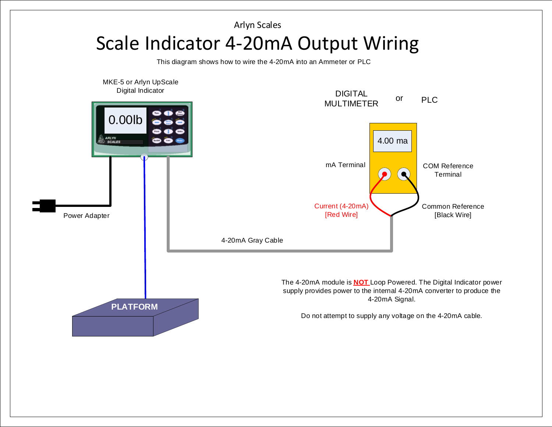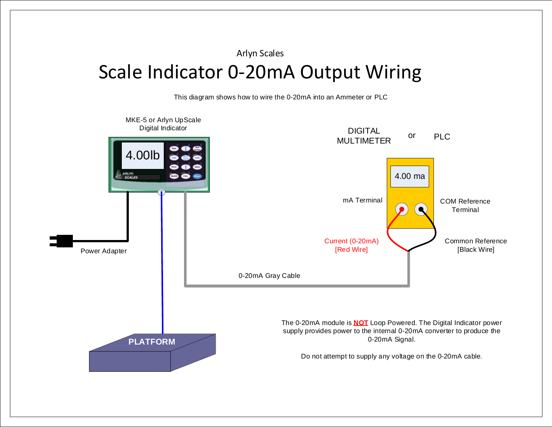Arlyn Scales

## Scale Indicator 0-20mA Output Wiring

This diagram shows how to wire the 0-20mA into an Ammeter or PLC

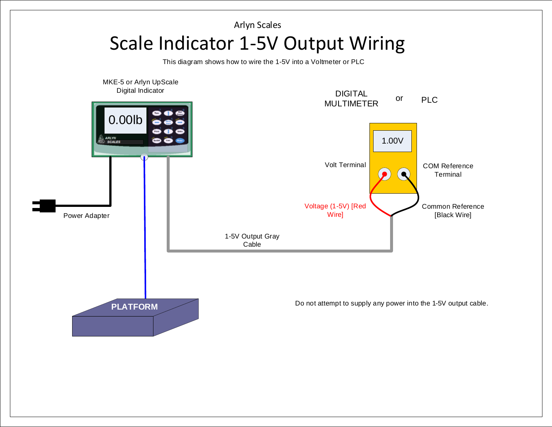